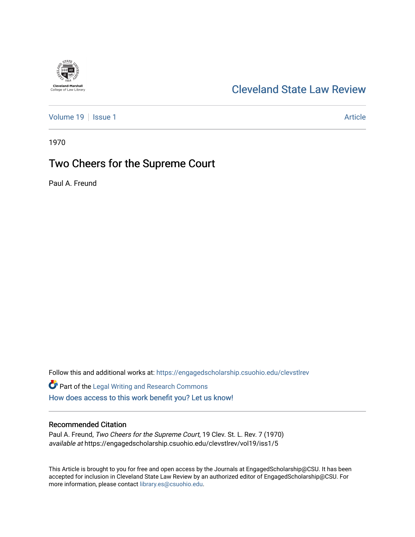# **Cleveland-Marshall**<br>College of Law Library

### [Cleveland State Law Review](https://engagedscholarship.csuohio.edu/clevstlrev)

[Volume 19](https://engagedscholarship.csuohio.edu/clevstlrev/vol19) | [Issue 1](https://engagedscholarship.csuohio.edu/clevstlrev/vol19/iss1) Article

1970

## Two Cheers for the Supreme Court

Paul A. Freund

Follow this and additional works at: [https://engagedscholarship.csuohio.edu/clevstlrev](https://engagedscholarship.csuohio.edu/clevstlrev?utm_source=engagedscholarship.csuohio.edu%2Fclevstlrev%2Fvol19%2Fiss1%2F5&utm_medium=PDF&utm_campaign=PDFCoverPages)

Part of the [Legal Writing and Research Commons](http://network.bepress.com/hgg/discipline/614?utm_source=engagedscholarship.csuohio.edu%2Fclevstlrev%2Fvol19%2Fiss1%2F5&utm_medium=PDF&utm_campaign=PDFCoverPages)  [How does access to this work benefit you? Let us know!](http://library.csuohio.edu/engaged/)

#### Recommended Citation

Paul A. Freund, Two Cheers for the Supreme Court, 19 Clev. St. L. Rev. 7 (1970) available at https://engagedscholarship.csuohio.edu/clevstlrev/vol19/iss1/5

This Article is brought to you for free and open access by the Journals at EngagedScholarship@CSU. It has been accepted for inclusion in Cleveland State Law Review by an authorized editor of EngagedScholarship@CSU. For more information, please contact [library.es@csuohio.edu](mailto:library.es@csuohio.edu).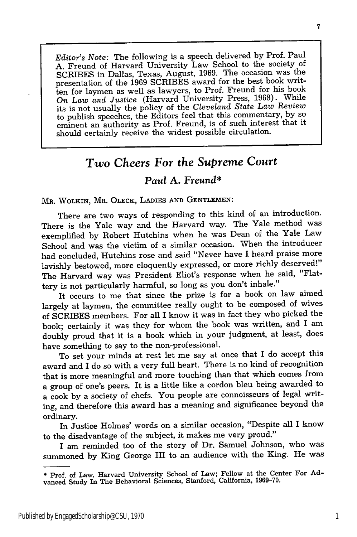*Editor's Note:* The following is a speech delivered by Prof. Paul A. Freund of Harvard University Law School to the society of SCRIBES in Dallas, Texas, August, 1969. The occasion was the presentation of the 1969 SCRIBES award for the best book written for laymen as well as lawyers, to Prof. Freund for his book *On Law and Justice* (Harvard University Press, 1968). While its is not usually the policy of the *Cleveland State Law Review* to publish speeches, the Editors feel that this commentary, by so eminent an authority as Prof. Freund, is of such interest that it should certainly receive the widest possible circulation.

## *Two Cheers For the Supreme Court*

#### *Paul* **A.** *Freund\**

MR. WOLKIN, MR. OLECK, **LADIES** AND **GENTLEMEN:**

There are two ways of responding to this kind of an introduction. There is the Yale way and the Harvard way. The Yale method was exemplified **by** Robert Hutchins when he was Dean of the Yale Law School and was the victim of a similar occasion. When the introducer had concluded, Hutchins rose and said "Never have I heard praise more lavishly bestowed, more eloquently expressed, or more richly deserved!" The Harvard way was President Eliot's response when he said, "Flattery is not particularly harmful, so long as you don't inhale."

It occurs to me that since the prize is for a book on law aimed largely at laymen, the committee really ought to be composed of wives of SCRIBES members. For all I know it was in fact they who picked the book; certainly it was they for whom the book was written, and I am doubly proud that it is a book which in your judgment, at least, does have something to say to the non-professional.

To set your minds at rest let me say at once that I do accept this award and I do so with a very full heart. There is no kind of recognition that is more meaningful and more touching than that which comes from a group of one's peers. It is a little like a cordon bleu being awarded to a cook **by** a society of chefs. You people are connoisseurs of legal writing, and therefore this award has a meaning and significance beyond the ordinary.

In Justice Holmes' words on a similar occasion, "Despite all I know to the disadvantage of the subject, it makes me very proud."

I am reminded too of the story of Dr. Samuel Johnson, who was summoned **by** King George III to an audience with the King. He was

<sup>\*</sup> Prof. of Law, Harvard University School of Law; Fellow at the Center For **Ad**vanced Study In The Behavioral Sciences, Stanford, California, **1969-70.**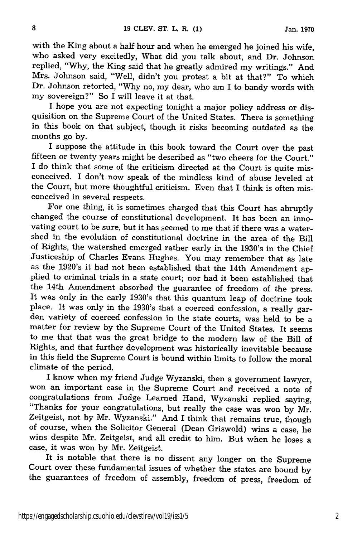with the King about a half hour and when he emerged he joined his wife, who asked very excitedly, What did you talk about, and Dr. Johnson replied, "Why, the King said that he greatly admired my writings." And Mrs. Johnson said, "Well, didn't you protest a bit at that?" To which Dr. Johnson retorted, "Why no, my dear, who am I to bandy words with my sovereign?" So I will leave it at that.

I hope you are not expecting tonight a major policy address or disquisition on the Supreme Court of the United States. There is something in this book on that subject, though it risks becoming outdated as the months go by.

I suppose the attitude in this book toward the Court over the past fifteen or twenty years might be described as "two cheers for the Court." I do think that some of the criticism directed at the Court is quite misconceived. I don't now speak of the mindless kind of abuse leveled at the Court, but more thoughtful criticism. Even that I think is often misconceived in several respects.

For one thing, it is sometimes charged that this Court has abruptly changed the course of constitutional development. It has been an innovating court to be sure, but it has seemed to me that if there was a watershed in the evolution of constitutional doctrine in the area of the Bill of Rights, the watershed emerged rather early in the 1930's in the Chief Justiceship of Charles Evans Hughes. You may remember that as late as the 1920's it had not been established that the 14th Amendment applied to criminal trials in a state court; nor had it been established that the 14th Amendment absorbed the guarantee of freedom of the press. It was only in the early 1930's that this quantum leap of doctrine took place. It was only in the 1930's that a coerced confession, a really garden variety of coerced confession in the state courts, was held to be a matter for review by the Supreme Court of the United States. It seems to me that that was the great bridge to the modern law of the Bill of Rights, and that further development was historically inevitable because in this field the Supreme Court is bound within limits to follow the moral climate of the period.

I know when my friend Judge Wyzanski, then a government lawyer, won an important case in the Supreme Court and received a note of congratulations from Judge Learned Hand, Wyzanski replied saying, "Thanks for your congratulations, but really the case was won by Mr. Zeitgeist, not by Mr. Wyzanski." And I think that remains true, though of course, when the Solicitor General (Dean Griswold) wins a case, he wins despite Mr. Zeitgeist, and all credit to him. But when he loses a case, it was won by Mr. Zeitgeist.

It is notable that there is no dissent any longer on the Supreme Court over these fundamental issues of whether the states are bound by the guarantees of freedom of assembly, freedom of press, freedom of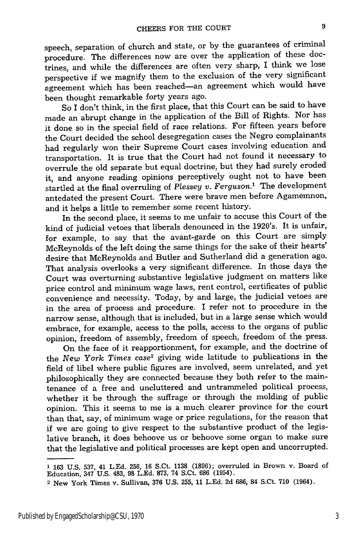speech, separation of church and state, or by the guarantees of criminal procedure. The differences now are over the application of these doctrines, and while the differences are often very sharp, I think we lose perspective if we magnify them to the exclusion of the very significant agreement which has been reached-an agreement which would have been thought remarkable forty years ago.

So I don't think, in the first place, that this Court can be said to have made an abrupt change in the application of the Bill of Rights. Nor has it done so in the special field of race relations. For fifteen years before the Court decided the school desegregation cases the Negro complainants had regularly won their Supreme Court cases involving education and transportation. It is true that the Court had not found it necessary to overrule the old separate but equal doctrine, but they had surely eroded it, and anyone reading opinions perceptively ought not to have been startled at the final overruling of *Plessey v. Ferguson.'* The development antedated the present Court. There were brave men before Agamemnon, and it helps a little to remember some recent history.

In the second place, it seems to me unfair to accuse this Court of the kind of judicial vetoes that liberals denounced in the 1920's. It is unfair, for example, to say that the avant-garde on this Court are simply McReynolds of the left doing the same things for the sake of their hearts' desire that McReynolds and Butler and Sutherland did a generation ago. That analysis overlooks a very significant difference. In those days the Court was overturning substantive legislative judgment on matters like price control and minimum wage laws, rent control, certificates of public convenience and necessity. Today, by and large, the judicial vetoes are in the area of process and procedure. I refer not to procedure in the narrow sense, although that is included, but in a large sense which would embrace, for example, access to the polls, access to the organs of public opinion, freedom of assembly, freedom of speech, freedom of the press.

On the face of it reapportionment, for example, and the doctrine of the *New York Times* case2 giving wide latitude to publications in the field of libel where public figures are involved, seem unrelated, and yet philosophically they are connected because they both refer to the maintenance of a free and uncluttered and untrammeled political process, whether it be through the suffrage or through the molding of public opinion. This it seems to me is a much clearer province for the court than that, say, of minimum wage or price regulations, for the reason that if we are going to give respect to the substantive product of the legislative branch, it does behoove us or behoove some organ to make sure that the legislative and political processes are kept open and uncorrupted.

**<sup>1 163</sup> U.S. 537,** 41 **L.Ed. 256, 16** S.Ct. **1138 (1896);** overruled in Brown v. Board of Education, 347 **U.S.** 483, **98 L.Ed. 873,** 74 S.Ct. **686** (1954).

<sup>2</sup> New York Times v. Sullivan, 376 U.S. 255, 11 L.Ed. 2d 686, 84 S.Ct. 710 (1964).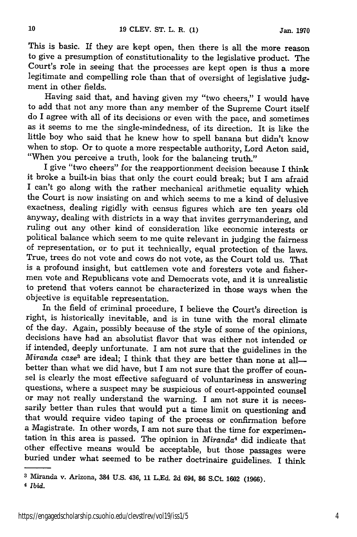This is basic. If they are kept open, then there is all the more reason to give a presumption of constitutionality to the legislative product. The Court's role in seeing that the processes are kept open is thus a more legitimate and compelling role than that of oversight of legislative judgment in other fields.

Having said that, and having given my "two cheers," I would have to add that not any more than any member of the Supreme Court itself do I agree with all of its decisions or even with the pace, and sometimes as it seems to me the single-mindedness, of its direction. It is like the little boy who said that he knew how to spell banana but didn't know when to stop. Or to quote a more respectable authority, Lord Acton said, "When you perceive a truth, look for the balancing truth."

I give "two cheers" for the reapportionment decision because I think it broke a built-in bias that only the court could break; but I am afraid I can't go along with the rather mechanical arithmetic equality which the Court is now insisting on and which seems to me a kind of delusive exactness, dealing rigidly with census figures which are ten years old anyway, dealing with districts in a way that invites gerrymandering, and ruling out any other kind of consideration like economic interests or political balance which seem to me quite relevant in judging the fairness of representation, or to put it technically, equal protection of the laws. True, trees do not vote and cows do not vote, as the Court told us. That is a profound insight, but cattlemen vote and foresters vote and fishermen vote and Republicans vote and Democrats vote, and it is unrealistic to pretend that voters cannot be characterized in those ways when the objective is equitable representation.

In the field of criminal procedure, I believe the Court's direction is right, is historically inevitable, and is in tune with the moral climate of the day. Again, possibly because of the style of some of the opinions, decisions have had an absolutist flavor that was either not intended or if intended, deeply unfortunate. I am not sure that the guidelines in the *Miranda case<sup>3</sup>* are ideal; I think that they are better than none at allbetter than what we did have, but I am not sure that the proffer of counsel is clearly the most effective safeguard of voluntariness in answering questions, where a suspect may be suspicious of court-appointed counsel or may not really understand the warning. I am not sure it is necessarily better than rules that would put a time limit on questioning and that would require video taping of the process or confirmation before a Magistrate. In other words, I am not sure that the time for experimen- tation in this area is passed. The opinion in *Miranda4* did indicate that other effective means would be acceptable, but those passages were buried under what seemed to be rather doctrinaire guidelines. I think

**<sup>3</sup>**Miranda v. Arizona, 384 **U.S.** 436, **11 L.Ed. 2d** 694, **86** S.Ct. **1602 (1966).**

**<sup>4</sup>** *Ibid.*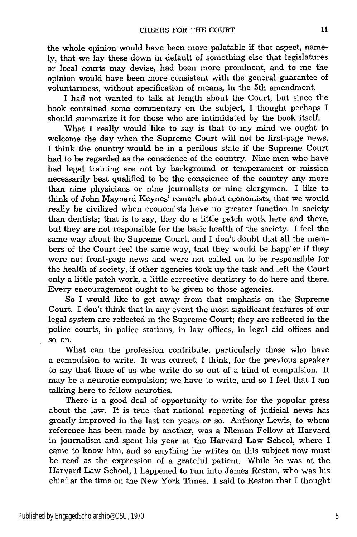the whole opinion would have been more palatable if that aspect, namely, that we lay these down in default of something else that legislatures or local courts may devise, had been more prominent, and to me the opinion would have been more consistent with the general guarantee of voluntariness, without specification of means, in the 5th amendment.

I had not wanted to talk at length about the Court, but since the book contained some commentary on the subject, I thought perhaps I should summarize it for those who are intimidated by the book itself.

What I really would like to say is that to my mind we ought to welcome the day when the Supreme Court will not be first-page news. I think the country would be in a perilous state if the Supreme Court had to be regarded as the conscience of the country. Nine men who have had legal training are not by background or temperament or mission necessarily best qualified to be the conscience of the country any more than nine physicians or nine journalists or nine clergymen. I like to think of John Maynard Keynes' remark about economists, that we would really be civilized when economists have no greater function in society than dentists; that is to say, they do a little patch work here and there, but they are not responsible for the basic health of the society. I feel the same way about the Supreme Court, and I don't doubt that all the members of the Court feel the same way, that they would be happier if they were not front-page news and were not called on to be responsible for the health of society, if other agencies took up the task and left the Court only a little patch work, a little corrective dentistry to do here and there. Every encouragement ought to be given to those agencies.

So I would like to get away from that emphasis on the Supreme Court. I don't think that in any event the most significant features of our legal system are reflected in the Supreme Court; they are reflected in the police courts, in police stations, in law offices, in legal aid offices and so on.

What can the profession contribute, particularly those who have a compulsion to write. It was correct, I think, for the previous speaker to say that those of us who write do so out of a kind of compulsion. It may be a neurotic compulsion; we have to write, and so I feel that I am talking here to fellow neurotics.

There is a good deal of opportunity to write for the popular press about the law. It is true that national reporting of judicial news has greatly improved in the last ten years or so. Anthony Lewis, to whom reference has been made by another, was a Nieman Fellow at Harvard in journalism and spent his year at the Harvard Law School, where I came to know him, and so anything he writes on this subject now must be read as the expression of a grateful patient. While he was at the Harvard Law School, I happened to run into James Reston, who was his chief at the time on the New York Times. I said to Reston that I thought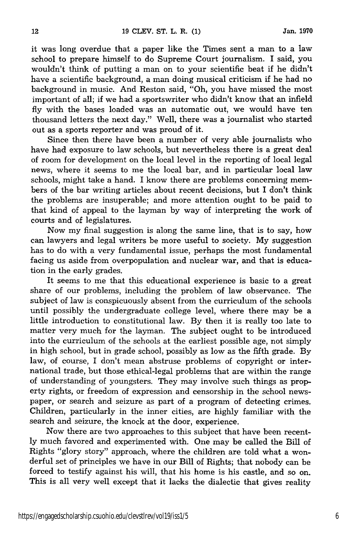it was long overdue that a paper like the Times sent a man to a law school to prepare himself to do Supreme Court journalism. I said, you wouldn't think of putting a man on to your scientific beat if he didn't have a scientific background, a man doing musical criticism if he had no background in music. And Reston said, "Oh, you have missed the most important of all; if we had a sportswriter who didn't know that an infield fly with the bases loaded was an automatic out, we would have ten thousand letters the next day." Well, there was a journalist who started out as a sports reporter and was proud of it.

Since then there have been a number of very able journalists who have had exposure to law schools, but nevertheless there is a great deal of room for development on the local level in the reporting of local legal news, where it seems to me the local bar, and in particular local law schools, might take a hand. I know there are problems concerning members of the bar writing articles about recent decisions, but I don't think the problems are insuperable; and more attention ought to be paid to that kind of appeal to the layman by way of interpreting the work of courts and of legislatures.

Now my final suggestion is along the same line, that is to say, how can lawyers and legal writers be more useful to society. My suggestion has to do with a very fundamental issue, perhaps the most fundamental facing us aside from overpopulation and nuclear war, and that is education in the early grades.

It seems to me that this educational experience is basic to a great share of our problems, including the problem of law observance. The subject of law is conspicuously absent from the curriculum of the schools until possibly the undergraduate college level, where there may be a little introduction to constitutional law. By then it is really too late to matter very much for the layman. The subject ought to be introduced into the curriculum of the schools at the earliest possible age, not simply in high school, but in grade school, possibly as low as the fifth grade. By law, of course, I don't mean abstruse problems of copyright or international trade, but those ethical-legal problems that are within the range of understanding of youngsters. They may involve such things as property rights, or freedom of expression and censorship in the school newspaper, or search and seizure as part of a program of detecting crimes. Children, particularly in the inner cities, are highly familiar with the search and seizure, the knock at the door, experience.

Now there are two approaches to this subject that have been recently much favored and experimented with. One may be called the Bill of Rights "glory story" approach, where the children are told what a wonderful set of principles we have in our Bill of Rights; that nobody can be forced to testify against his will, that his home is his castle, and so on. This is all very well except that it lacks the dialectic that gives reality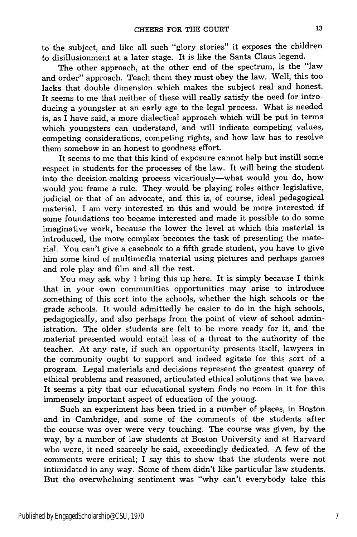to the subject, and like all such "glory stories" it exposes the children to disillusionment at a later stage. It is like the Santa Claus legend.

The other approach, at the other end of the spectrum, is the "law and order" approach. Teach them they must obey the law. Well, this too lacks that double dimension which makes the subject real and honest. It seems to me that neither of these will really satisfy the need for introducing a youngster at an early age to the legal process. What is needed is, as I have said, a more dialectical approach which will be put in terms which youngsters can understand, and will indicate competing values, competing considerations, competing rights, and how law has to resolve them somehow in an honest to goodness effort.

It seems to me that this kind of exposure cannot help but instill some respect in students for the processes of the law. It will bring the student into the decision-making process vicariously--what would you do, how would you frame a rule. They would be playing roles either legislative, judicial or that of an advocate, and this is, of course, ideal pedagogical material. I am very interested in this and would be more interested if some foundations too became interested and made it possible to do some imaginative work, because the lower the level at which this material is introduced, the more complex becomes the task of presenting the material. You can't give a casebook to a fifth grade student, you have to give him some kind of multimedia material using pictures and perhaps games and role play and film and all the rest.

You may ask why I bring this up here. It is simply because I think that in your own communities opportunities may arise to introduce something of this sort into the schools, whether the high schools or the grade schools. It would admittedly be easier to do in the high schools, pedagogically, and also perhaps from the point of view of school administration. The older students are felt to be more ready for it, and the material presented would entail less of a threat to the authority of the teacher. At any rate, if such an opportunity presents itself, lawyers in the community ought to support and indeed agitate for this sort of a program. Legal materials and decisions represent the greatest quarry of ethical problems and reasoned, articulated ethical solutions that we have. It seems a pity that our educational system finds no room in it for this immensely important aspect of education of the young.

Such an experiment has been tried in a number of places, in Boston and in Cambridge, and some of the comments of the students after the course was over were very touching. The course was given, by the way, by a number of law students at Boston University and at Harvard who were, it need scarcely be said, exceedingly dedicated. A few of the comments were critical; I say this to show that the students were not intimidated in any way. Some of them didn't like particular law students. But the overwhelming sentiment was "why can't everybody take this

13